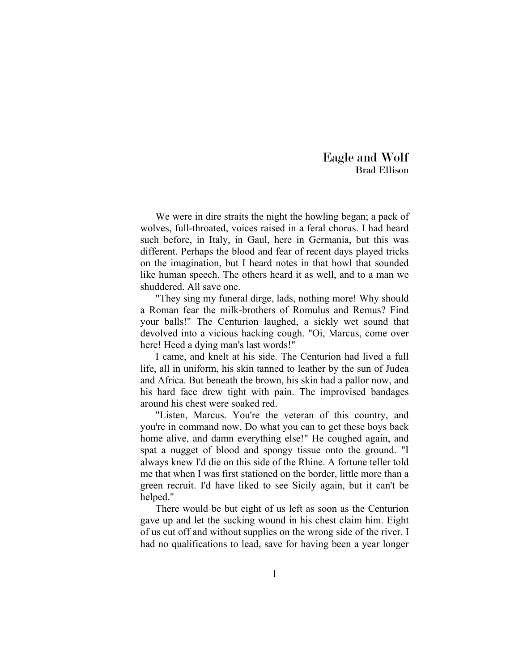Eagle and Wolf Brad Ellison

We were in dire straits the night the howling began; a pack of wolves, full-throated, voices raised in a feral chorus. I had heard such before, in Italy, in Gaul, here in Germania, but this was different. Perhaps the blood and fear of recent days played tricks on the imagination, but I heard notes in that howl that sounded like human speech. The others heard it as well, and to a man we shuddered. All save one.

"They sing my funeral dirge, lads, nothing more! Why should a Roman fear the milk-brothers of Romulus and Remus? Find your balls!" The Centurion laughed, a sickly wet sound that devolved into a vicious hacking cough. "Oi, Marcus, come over here! Heed a dying man's last words!"

I came, and knelt at his side. The Centurion had lived a full life, all in uniform, his skin tanned to leather by the sun of Judea and Africa. But beneath the brown, his skin had a pallor now, and his hard face drew tight with pain. The improvised bandages around his chest were soaked red.

"Listen, Marcus. You're the veteran of this country, and you're in command now. Do what you can to get these boys back home alive, and damn everything else!" He coughed again, and spat a nugget of blood and spongy tissue onto the ground. "I always knew I'd die on this side of the Rhine. A fortune teller told me that when I was first stationed on the border, little more than a green recruit. I'd have liked to see Sicily again, but it can't be helped."

There would be but eight of us left as soon as the Centurion gave up and let the sucking wound in his chest claim him. Eight of us cut off and without supplies on the wrong side of the river. I had no qualifications to lead, save for having been a year longer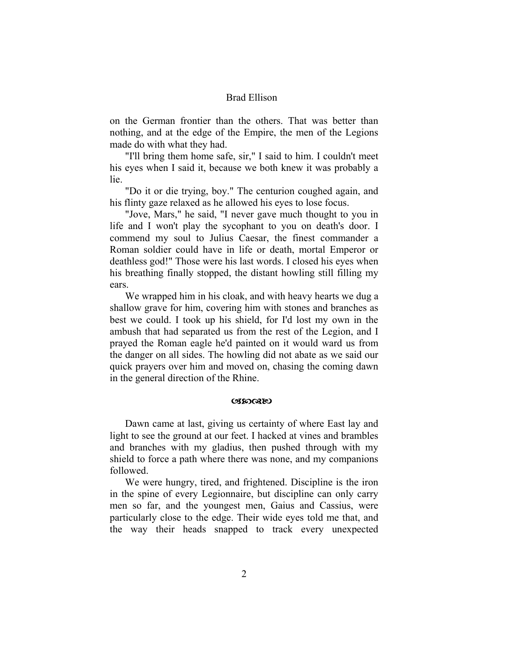on the German frontier than the others. That was better than nothing, and at the edge of the Empire, the men of the Legions made do with what they had.

"I'll bring them home safe, sir," I said to him. I couldn't meet his eyes when I said it, because we both knew it was probably a lie.

"Do it or die trying, boy." The centurion coughed again, and his flinty gaze relaxed as he allowed his eyes to lose focus.

"Jove, Mars," he said, "I never gave much thought to you in life and I won't play the sycophant to you on death's door. I commend my soul to Julius Caesar, the finest commander a Roman soldier could have in life or death, mortal Emperor or deathless god!" Those were his last words. I closed his eyes when his breathing finally stopped, the distant howling still filling my ears.

We wrapped him in his cloak, and with heavy hearts we dug a shallow grave for him, covering him with stones and branches as best we could. I took up his shield, for I'd lost my own in the ambush that had separated us from the rest of the Legion, and I prayed the Roman eagle he'd painted on it would ward us from the danger on all sides. The howling did not abate as we said our quick prayers over him and moved on, chasing the coming dawn in the general direction of the Rhine.

#### **C**SSOGRED

Dawn came at last, giving us certainty of where East lay and light to see the ground at our feet. I hacked at vines and brambles and branches with my gladius, then pushed through with my shield to force a path where there was none, and my companions followed.

We were hungry, tired, and frightened. Discipline is the iron in the spine of every Legionnaire, but discipline can only carry men so far, and the youngest men, Gaius and Cassius, were particularly close to the edge. Their wide eyes told me that, and the way their heads snapped to track every unexpected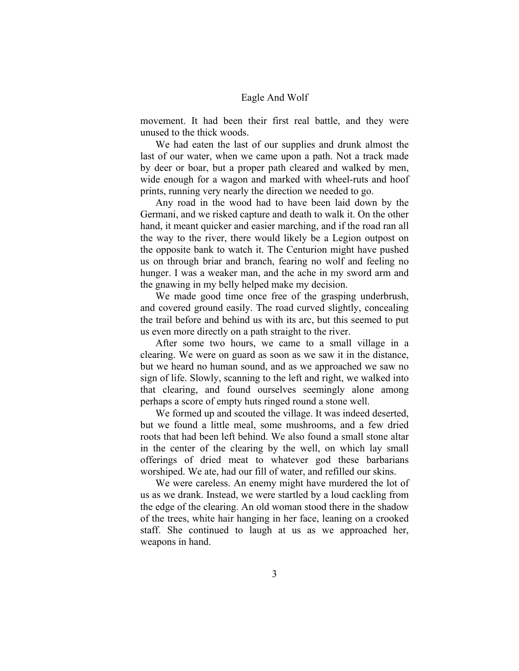movement. It had been their first real battle, and they were unused to the thick woods.

We had eaten the last of our supplies and drunk almost the last of our water, when we came upon a path. Not a track made by deer or boar, but a proper path cleared and walked by men, wide enough for a wagon and marked with wheel-ruts and hoof prints, running very nearly the direction we needed to go.

Any road in the wood had to have been laid down by the Germani, and we risked capture and death to walk it. On the other hand, it meant quicker and easier marching, and if the road ran all the way to the river, there would likely be a Legion outpost on the opposite bank to watch it. The Centurion might have pushed us on through briar and branch, fearing no wolf and feeling no hunger. I was a weaker man, and the ache in my sword arm and the gnawing in my belly helped make my decision.

We made good time once free of the grasping underbrush, and covered ground easily. The road curved slightly, concealing the trail before and behind us with its arc, but this seemed to put us even more directly on a path straight to the river.

After some two hours, we came to a small village in a clearing. We were on guard as soon as we saw it in the distance, but we heard no human sound, and as we approached we saw no sign of life. Slowly, scanning to the left and right, we walked into that clearing, and found ourselves seemingly alone among perhaps a score of empty huts ringed round a stone well.

We formed up and scouted the village. It was indeed deserted, but we found a little meal, some mushrooms, and a few dried roots that had been left behind. We also found a small stone altar in the center of the clearing by the well, on which lay small offerings of dried meat to whatever god these barbarians worshiped. We ate, had our fill of water, and refilled our skins.

We were careless. An enemy might have murdered the lot of us as we drank. Instead, we were startled by a loud cackling from the edge of the clearing. An old woman stood there in the shadow of the trees, white hair hanging in her face, leaning on a crooked staff. She continued to laugh at us as we approached her, weapons in hand.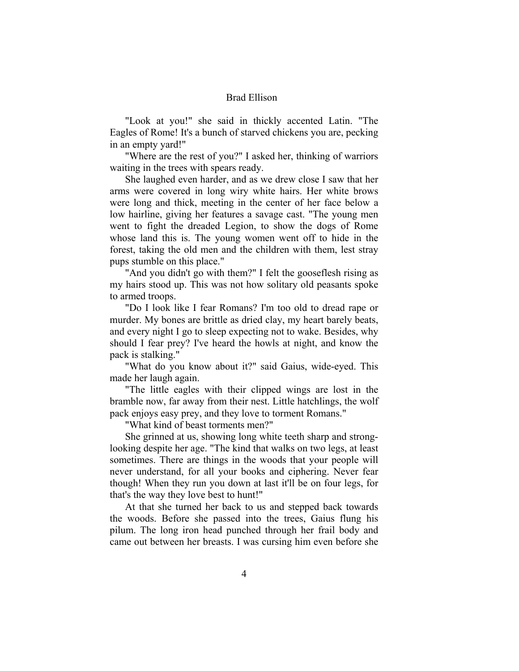"Look at you!" she said in thickly accented Latin. "The Eagles of Rome! It's a bunch of starved chickens you are, pecking in an empty yard!"

"Where are the rest of you?" I asked her, thinking of warriors waiting in the trees with spears ready.

She laughed even harder, and as we drew close I saw that her arms were covered in long wiry white hairs. Her white brows were long and thick, meeting in the center of her face below a low hairline, giving her features a savage cast. "The young men went to fight the dreaded Legion, to show the dogs of Rome whose land this is. The young women went off to hide in the forest, taking the old men and the children with them, lest stray pups stumble on this place."

"And you didn't go with them?" I felt the gooseflesh rising as my hairs stood up. This was not how solitary old peasants spoke to armed troops.

"Do I look like I fear Romans? I'm too old to dread rape or murder. My bones are brittle as dried clay, my heart barely beats, and every night I go to sleep expecting not to wake. Besides, why should I fear prey? I've heard the howls at night, and know the pack is stalking."

"What do you know about it?" said Gaius, wide-eyed. This made her laugh again.

"The little eagles with their clipped wings are lost in the bramble now, far away from their nest. Little hatchlings, the wolf pack enjoys easy prey, and they love to torment Romans."

"What kind of beast torments men?"

She grinned at us, showing long white teeth sharp and stronglooking despite her age. "The kind that walks on two legs, at least sometimes. There are things in the woods that your people will never understand, for all your books and ciphering. Never fear though! When they run you down at last it'll be on four legs, for that's the way they love best to hunt!"

At that she turned her back to us and stepped back towards the woods. Before she passed into the trees, Gaius flung his pilum. The long iron head punched through her frail body and came out between her breasts. I was cursing him even before she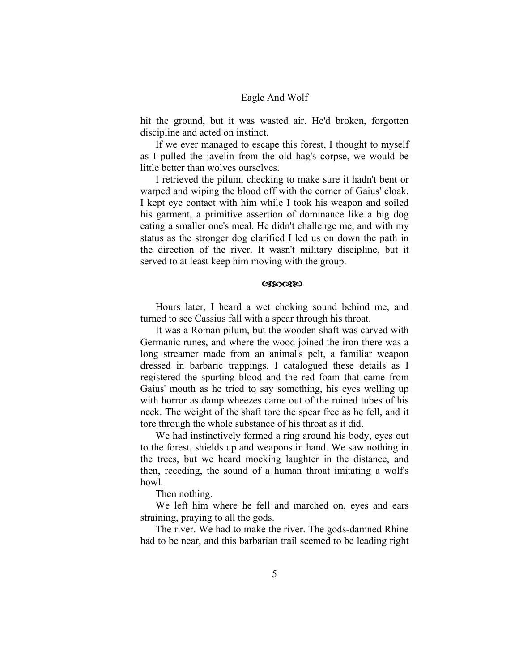hit the ground, but it was wasted air. He'd broken, forgotten discipline and acted on instinct.

If we ever managed to escape this forest, I thought to myself as I pulled the javelin from the old hag's corpse, we would be little better than wolves ourselves.

I retrieved the pilum, checking to make sure it hadn't bent or warped and wiping the blood off with the corner of Gaius' cloak. I kept eye contact with him while I took his weapon and soiled his garment, a primitive assertion of dominance like a big dog eating a smaller one's meal. He didn't challenge me, and with my status as the stronger dog clarified I led us on down the path in the direction of the river. It wasn't military discipline, but it served to at least keep him moving with the group.

#### **OBDGEE)**

Hours later, I heard a wet choking sound behind me, and turned to see Cassius fall with a spear through his throat.

It was a Roman pilum, but the wooden shaft was carved with Germanic runes, and where the wood joined the iron there was a long streamer made from an animal's pelt, a familiar weapon dressed in barbaric trappings. I catalogued these details as I registered the spurting blood and the red foam that came from Gaius' mouth as he tried to say something, his eyes welling up with horror as damp wheezes came out of the ruined tubes of his neck. The weight of the shaft tore the spear free as he fell, and it tore through the whole substance of his throat as it did.

We had instinctively formed a ring around his body, eyes out to the forest, shields up and weapons in hand. We saw nothing in the trees, but we heard mocking laughter in the distance, and then, receding, the sound of a human throat imitating a wolf's howl.

Then nothing.

We left him where he fell and marched on, eyes and ears straining, praying to all the gods.

The river. We had to make the river. The gods-damned Rhine had to be near, and this barbarian trail seemed to be leading right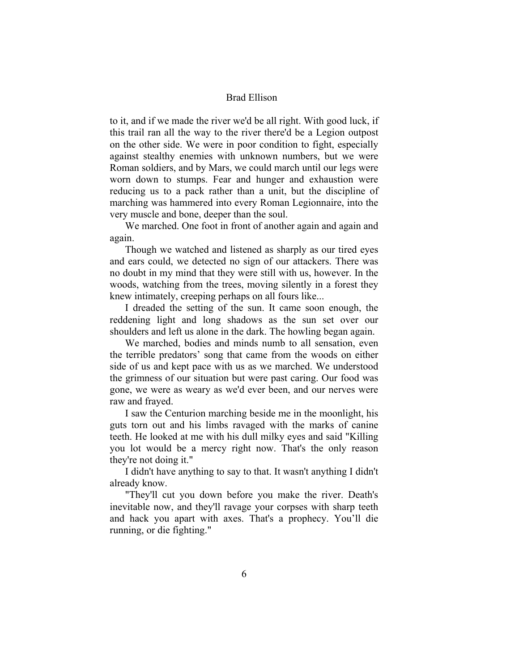to it, and if we made the river we'd be all right. With good luck, if this trail ran all the way to the river there'd be a Legion outpost on the other side. We were in poor condition to fight, especially against stealthy enemies with unknown numbers, but we were Roman soldiers, and by Mars, we could march until our legs were worn down to stumps. Fear and hunger and exhaustion were reducing us to a pack rather than a unit, but the discipline of marching was hammered into every Roman Legionnaire, into the very muscle and bone, deeper than the soul.

We marched. One foot in front of another again and again and again.

Though we watched and listened as sharply as our tired eyes and ears could, we detected no sign of our attackers. There was no doubt in my mind that they were still with us, however. In the woods, watching from the trees, moving silently in a forest they knew intimately, creeping perhaps on all fours like...

I dreaded the setting of the sun. It came soon enough, the reddening light and long shadows as the sun set over our shoulders and left us alone in the dark. The howling began again.

We marched, bodies and minds numb to all sensation, even the terrible predators' song that came from the woods on either side of us and kept pace with us as we marched. We understood the grimness of our situation but were past caring. Our food was gone, we were as weary as we'd ever been, and our nerves were raw and frayed.

I saw the Centurion marching beside me in the moonlight, his guts torn out and his limbs ravaged with the marks of canine teeth. He looked at me with his dull milky eyes and said "Killing you lot would be a mercy right now. That's the only reason they're not doing it."

I didn't have anything to say to that. It wasn't anything I didn't already know.

"They'll cut you down before you make the river. Death's inevitable now, and they'll ravage your corpses with sharp teeth and hack you apart with axes. That's a prophecy. You'll die running, or die fighting."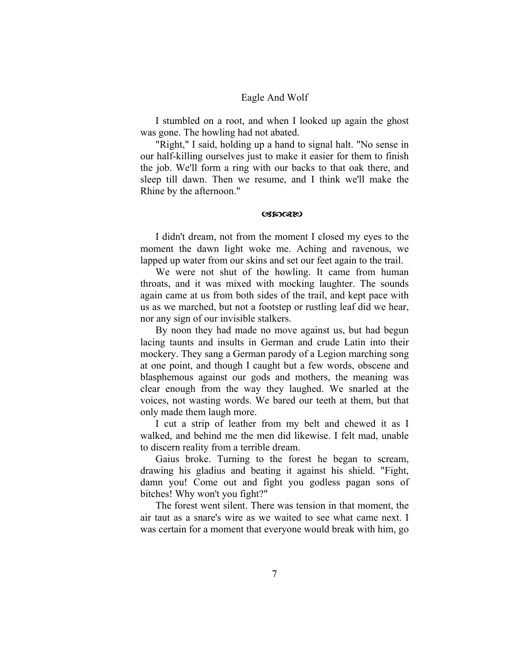I stumbled on a root, and when I looked up again the ghost was gone. The howling had not abated.

"Right," I said, holding up a hand to signal halt. "No sense in our half-killing ourselves just to make it easier for them to finish the job. We'll form a ring with our backs to that oak there, and sleep till dawn. Then we resume, and I think we'll make the Rhine by the afternoon."

#### **CBDGREU**

I didn't dream, not from the moment I closed my eyes to the moment the dawn light woke me. Aching and ravenous, we lapped up water from our skins and set our feet again to the trail.

We were not shut of the howling. It came from human throats, and it was mixed with mocking laughter. The sounds again came at us from both sides of the trail, and kept pace with us as we marched, but not a footstep or rustling leaf did we hear, nor any sign of our invisible stalkers.

By noon they had made no move against us, but had begun lacing taunts and insults in German and crude Latin into their mockery. They sang a German parody of a Legion marching song at one point, and though I caught but a few words, obscene and blasphemous against our gods and mothers, the meaning was clear enough from the way they laughed. We snarled at the voices, not wasting words. We bared our teeth at them, but that only made them laugh more.

I cut a strip of leather from my belt and chewed it as I walked, and behind me the men did likewise. I felt mad, unable to discern reality from a terrible dream.

Gaius broke. Turning to the forest he began to scream, drawing his gladius and beating it against his shield. "Fight, damn you! Come out and fight you godless pagan sons of bitches! Why won't you fight?"

The forest went silent. There was tension in that moment, the air taut as a snare's wire as we waited to see what came next. I was certain for a moment that everyone would break with him, go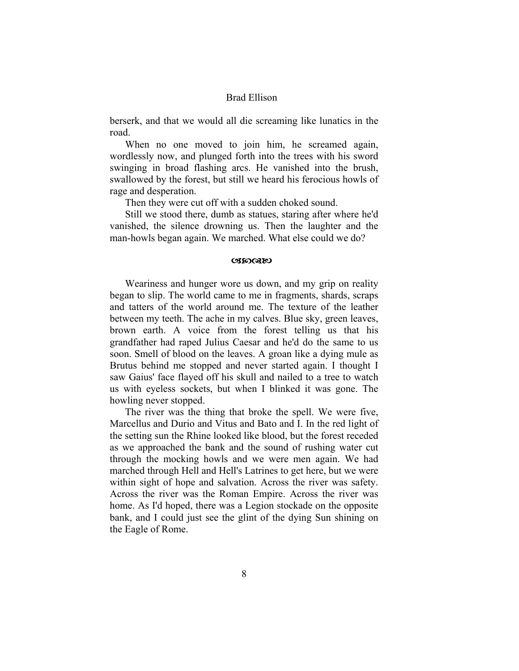berserk, and that we would all die screaming like lunatics in the road.

When no one moved to join him, he screamed again, wordlessly now, and plunged forth into the trees with his sword swinging in broad flashing arcs. He vanished into the brush, swallowed by the forest, but still we heard his ferocious howls of rage and desperation.

Then they were cut off with a sudden choked sound.

Still we stood there, dumb as statues, staring after where he'd vanished, the silence drowning us. Then the laughter and the man-howls began again. We marched. What else could we do?

#### **C**BOOKEO

Weariness and hunger wore us down, and my grip on reality began to slip. The world came to me in fragments, shards, scraps and tatters of the world around me. The texture of the leather between my teeth. The ache in my calves. Blue sky, green leaves, brown earth. A voice from the forest telling us that his grandfather had raped Julius Caesar and he'd do the same to us soon. Smell of blood on the leaves. A groan like a dying mule as Brutus behind me stopped and never started again. I thought I saw Gaius' face flayed off his skull and nailed to a tree to watch us with eyeless sockets, but when I blinked it was gone. The howling never stopped.

The river was the thing that broke the spell. We were five, Marcellus and Durio and Vitus and Bato and I. In the red light of the setting sun the Rhine looked like blood, but the forest receded as we approached the bank and the sound of rushing water cut through the mocking howls and we were men again. We had marched through Hell and Hell's Latrines to get here, but we were within sight of hope and salvation. Across the river was safety. Across the river was the Roman Empire. Across the river was home. As I'd hoped, there was a Legion stockade on the opposite bank, and I could just see the glint of the dying Sun shining on the Eagle of Rome.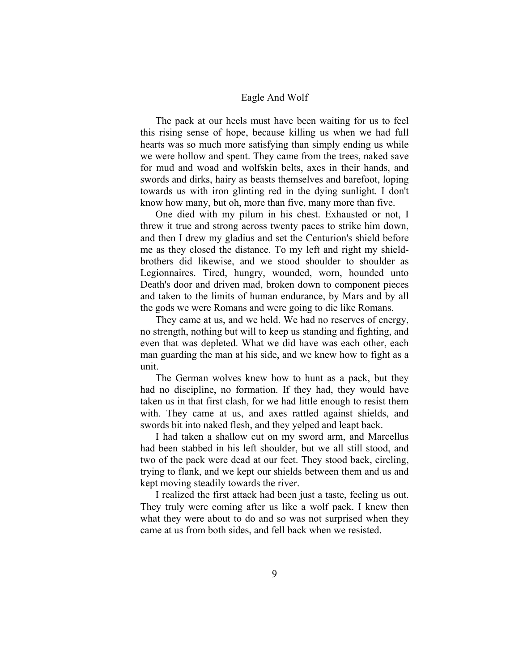The pack at our heels must have been waiting for us to feel this rising sense of hope, because killing us when we had full hearts was so much more satisfying than simply ending us while we were hollow and spent. They came from the trees, naked save for mud and woad and wolfskin belts, axes in their hands, and swords and dirks, hairy as beasts themselves and barefoot, loping towards us with iron glinting red in the dying sunlight. I don't know how many, but oh, more than five, many more than five.

One died with my pilum in his chest. Exhausted or not, I threw it true and strong across twenty paces to strike him down, and then I drew my gladius and set the Centurion's shield before me as they closed the distance. To my left and right my shieldbrothers did likewise, and we stood shoulder to shoulder as Legionnaires. Tired, hungry, wounded, worn, hounded unto Death's door and driven mad, broken down to component pieces and taken to the limits of human endurance, by Mars and by all the gods we were Romans and were going to die like Romans.

They came at us, and we held. We had no reserves of energy, no strength, nothing but will to keep us standing and fighting, and even that was depleted. What we did have was each other, each man guarding the man at his side, and we knew how to fight as a unit.

The German wolves knew how to hunt as a pack, but they had no discipline, no formation. If they had, they would have taken us in that first clash, for we had little enough to resist them with. They came at us, and axes rattled against shields, and swords bit into naked flesh, and they yelped and leapt back.

I had taken a shallow cut on my sword arm, and Marcellus had been stabbed in his left shoulder, but we all still stood, and two of the pack were dead at our feet. They stood back, circling, trying to flank, and we kept our shields between them and us and kept moving steadily towards the river.

I realized the first attack had been just a taste, feeling us out. They truly were coming after us like a wolf pack. I knew then what they were about to do and so was not surprised when they came at us from both sides, and fell back when we resisted.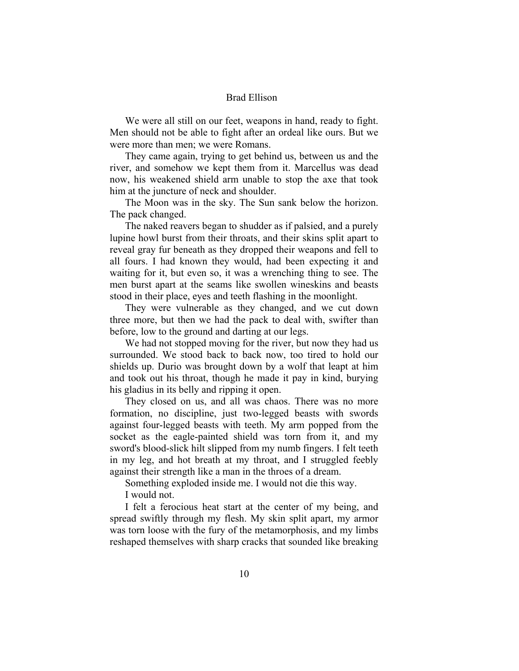We were all still on our feet, weapons in hand, ready to fight. Men should not be able to fight after an ordeal like ours. But we were more than men; we were Romans.

They came again, trying to get behind us, between us and the river, and somehow we kept them from it. Marcellus was dead now, his weakened shield arm unable to stop the axe that took him at the juncture of neck and shoulder.

The Moon was in the sky. The Sun sank below the horizon. The pack changed.

The naked reavers began to shudder as if palsied, and a purely lupine howl burst from their throats, and their skins split apart to reveal gray fur beneath as they dropped their weapons and fell to all fours. I had known they would, had been expecting it and waiting for it, but even so, it was a wrenching thing to see. The men burst apart at the seams like swollen wineskins and beasts stood in their place, eyes and teeth flashing in the moonlight.

They were vulnerable as they changed, and we cut down three more, but then we had the pack to deal with, swifter than before, low to the ground and darting at our legs.

We had not stopped moving for the river, but now they had us surrounded. We stood back to back now, too tired to hold our shields up. Durio was brought down by a wolf that leapt at him and took out his throat, though he made it pay in kind, burying his gladius in its belly and ripping it open.

They closed on us, and all was chaos. There was no more formation, no discipline, just two-legged beasts with swords against four-legged beasts with teeth. My arm popped from the socket as the eagle-painted shield was torn from it, and my sword's blood-slick hilt slipped from my numb fingers. I felt teeth in my leg, and hot breath at my throat, and I struggled feebly against their strength like a man in the throes of a dream.

Something exploded inside me. I would not die this way. I would not.

I felt a ferocious heat start at the center of my being, and spread swiftly through my flesh. My skin split apart, my armor was torn loose with the fury of the metamorphosis, and my limbs reshaped themselves with sharp cracks that sounded like breaking